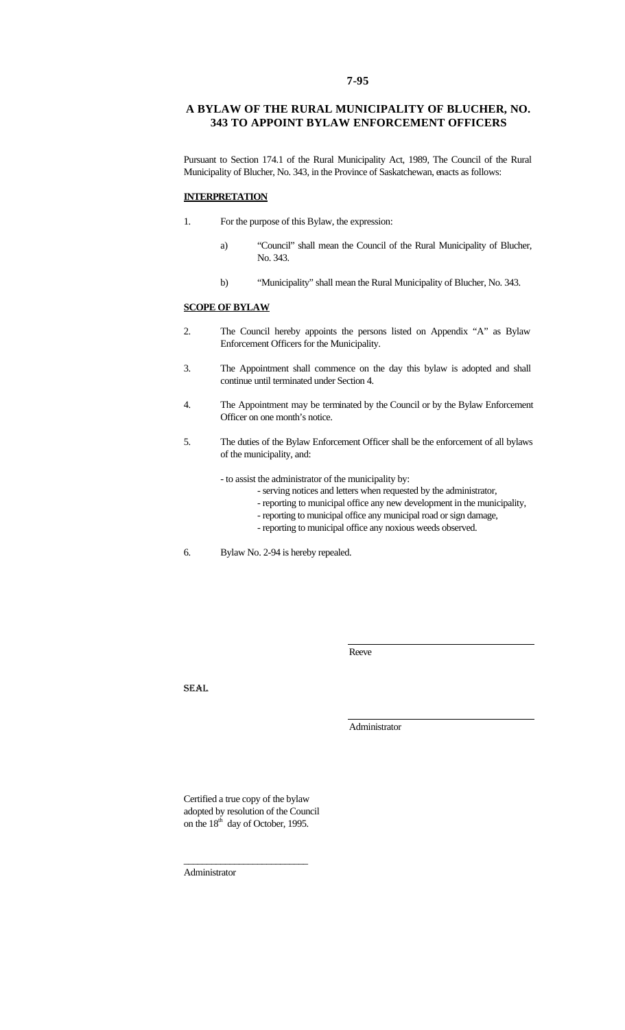## **A BYLAW OF THE RURAL MUNICIPALITY OF BLUCHER, NO. 343 TO APPOINT BYLAW ENFORCEMENT OFFICERS**

Pursuant to Section 174.1 of the Rural Municipality Act, 1989, The Council of the Rural Municipality of Blucher, No. 343, in the Province of Saskatchewan, enacts as follows:

## **INTERPRETATION**

- 1. For the purpose of this Bylaw, the expression:
	- a) "Council" shall mean the Council of the Rural Municipality of Blucher, No. 343.
	- b) "Municipality" shall mean the Rural Municipality of Blucher, No. 343.

## **SCOPE OF BYLAW**

- 2. The Council hereby appoints the persons listed on Appendix "A" as Bylaw Enforcement Officers for the Municipality.
- 3. The Appointment shall commence on the day this bylaw is adopted and shall continue until terminated under Section 4.
- 4. The Appointment may be terminated by the Council or by the Bylaw Enforcement Officer on one month's notice.
- 5. The duties of the Bylaw Enforcement Officer shall be the enforcement of all bylaws of the municipality, and:
	- to assist the administrator of the municipality by:
		- serving notices and letters when requested by the administrator,
		- reporting to municipal office any new development in the municipality,
		- reporting to municipal office any municipal road or sign damage,
		- reporting to municipal office any noxious weeds observed.

6. Bylaw No. 2-94 is hereby repealed.

Reeve

SEAL

Administrator

Certified a true copy of the bylaw adopted by resolution of the Council on the 18<sup>th</sup> day of October, 1995.

\_\_\_\_\_\_\_\_\_\_\_\_\_\_\_\_\_\_\_\_\_\_\_\_\_\_\_

Administrator